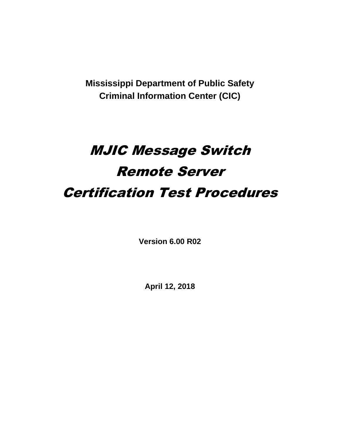**Mississippi Department of Public Safety Criminal Information Center (CIC)**

# MJIC Message Switch Remote Server Certification Test Procedures

**Version 6.00 R02**

**April 12, 2018**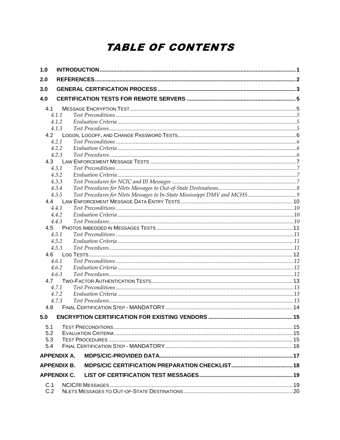# **TABLE OF CONTENTS**

| 1.0        |                    |  |
|------------|--------------------|--|
| 2.0        |                    |  |
| 3.0        |                    |  |
| 4.0        |                    |  |
|            |                    |  |
| 4.1        | 4.1.1              |  |
|            | 4.1.2              |  |
|            | 4.1.3              |  |
| 4.2        |                    |  |
|            | 4.2.1              |  |
|            | 4.2.2              |  |
|            | 4.2.3              |  |
| 4.3        |                    |  |
|            | 4.3.1              |  |
|            | 4.3.2              |  |
|            | 4.3.3              |  |
|            | 4.3.4              |  |
|            | 4.3.5              |  |
| 4.4        |                    |  |
|            | 4.4.1              |  |
|            | 4.4.2              |  |
|            | 4.4.3              |  |
| 4.5        |                    |  |
|            | 4.5.1              |  |
|            | 4.5.2              |  |
|            | 4.5.3              |  |
| 4.6        |                    |  |
|            | 4.6.1              |  |
|            | 4.6.2              |  |
|            | 4.6.3              |  |
| 4.7        |                    |  |
|            | 4.7.1<br>4.7.2     |  |
|            | 4.7.3              |  |
| 4.8        |                    |  |
|            |                    |  |
|            |                    |  |
| 5.1        |                    |  |
| 5.2        |                    |  |
| 5.3        |                    |  |
| 5.4        |                    |  |
|            | <b>APPENDIX A.</b> |  |
|            | <b>APPENDIX B.</b> |  |
|            | <b>APPENDIX C.</b> |  |
|            |                    |  |
| C.1<br>C.2 |                    |  |
|            |                    |  |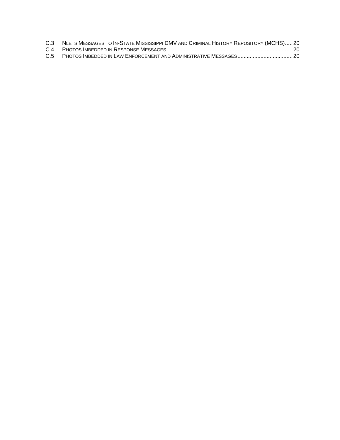| C.3 NLETS MESSAGES TO IN-STATE MISSISSIPPI DMV AND CRIMINAL HISTORY REPOSITORY (MCHS)20 |  |
|-----------------------------------------------------------------------------------------|--|
|                                                                                         |  |
|                                                                                         |  |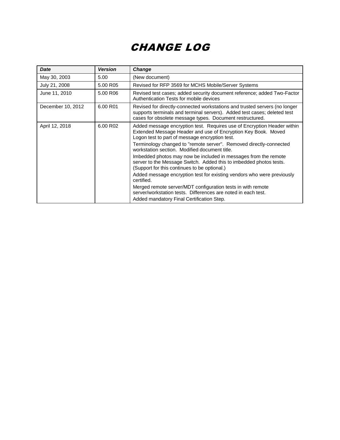# CHANGE LOG

| <b>Date</b>       | <b>Version</b> | <b>Change</b>                                                                                                                                                                                                                                                                                                                                                                                                                                                                                                                                                                                                                                                     |
|-------------------|----------------|-------------------------------------------------------------------------------------------------------------------------------------------------------------------------------------------------------------------------------------------------------------------------------------------------------------------------------------------------------------------------------------------------------------------------------------------------------------------------------------------------------------------------------------------------------------------------------------------------------------------------------------------------------------------|
| May 30, 2003      | 5.00           | (New document)                                                                                                                                                                                                                                                                                                                                                                                                                                                                                                                                                                                                                                                    |
| July 21, 2008     | 5.00 R05       | Revised for RFP 3569 for MCHS Mobile/Server Systems                                                                                                                                                                                                                                                                                                                                                                                                                                                                                                                                                                                                               |
| June 11, 2010     | 5.00 R06       | Revised test cases; added security document reference; added Two-Factor<br>Authentication Tests for mobile devices                                                                                                                                                                                                                                                                                                                                                                                                                                                                                                                                                |
| December 10, 2012 | 6.00 R01       | Revised for directly-connected workstations and trusted servers (no longer<br>supports terminals and terminal servers). Added test cases; deleted test<br>cases for obsolete message types. Document restructured.                                                                                                                                                                                                                                                                                                                                                                                                                                                |
| April 12, 2018    | 6.00 R02       | Added message encryption test. Requires use of Encryption Header within<br>Extended Message Header and use of Encryption Key Book. Moved<br>Logon test to part of message encryption test.<br>Terminology changed to "remote server". Removed directly-connected<br>workstation section. Modified document title.<br>Imbedded photos may now be included in messages from the remote<br>server to the Message Switch. Added this to imbedded photos tests.<br>(Support for this continues to be optional.)<br>Added message encryption test for existing vendors who were previously<br>certified.<br>Merged remote server/MDT configuration tests in with remote |
|                   |                | server/workstation tests. Differences are noted in each test.<br>Added mandatory Final Certification Step.                                                                                                                                                                                                                                                                                                                                                                                                                                                                                                                                                        |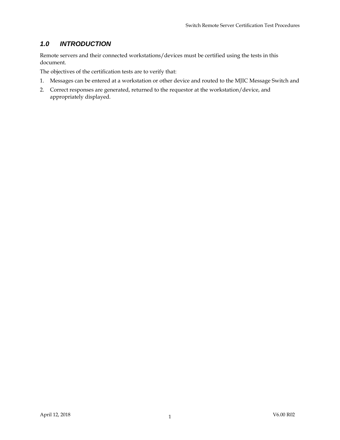# *1.0 INTRODUCTION*

Remote servers and their connected workstations/devices must be certified using the tests in this document.

The objectives of the certification tests are to verify that:

- 1. Messages can be entered at a workstation or other device and routed to the MJIC Message Switch and
- 2. Correct responses are generated, returned to the requestor at the workstation/device, and appropriately displayed.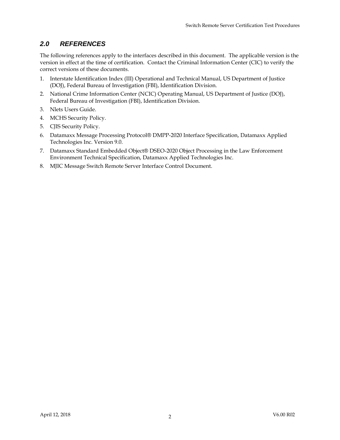# *2.0 REFERENCES*

The following references apply to the interfaces described in this document. The applicable version is the version in effect at the time of certification. Contact the Criminal Information Center (CIC) to verify the correct versions of these documents.

- 1. Interstate Identification Index (III) Operational and Technical Manual, US Department of Justice (DOJ), Federal Bureau of Investigation (FBI), Identification Division.
- 2. National Crime Information Center (NCIC) Operating Manual, US Department of Justice (DOJ), Federal Bureau of Investigation (FBI), Identification Division.
- 3. Nlets Users Guide.
- 4. MCHS Security Policy.
- 5. CJIS Security Policy.
- 6. Datamaxx Message Processing Protocol® DMPP-2020 Interface Specification, Datamaxx Applied Technologies Inc. Version 9.0.
- 7. Datamaxx Standard Embedded Object® DSEO-2020 Object Processing in the Law Enforcement Environment Technical Specification, Datamaxx Applied Technologies Inc.
- 8. MJIC Message Switch Remote Server Interface Control Document.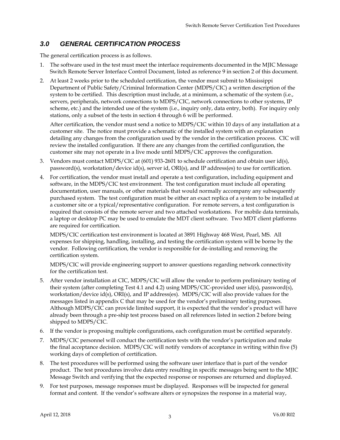# *3.0 GENERAL CERTIFICATION PROCESS*

The general certification process is as follows.

- 1. The software used in the test must meet the interface requirements documented in the MJIC Message Switch Remote Server Interface Control Document, listed as reference 9 in section 2 of this document.
- 2. At least 2 weeks prior to the scheduled certification, the vendor must submit to Mississippi Department of Public Safety/Criminal Information Center (MDPS/CIC) a written description of the system to be certified. This description must include, at a minimum, a schematic of the system (i.e., servers, peripherals, network connections to MDPS/CIC, network connections to other systems, IP scheme, etc.) and the intended use of the system (i.e., inquiry only, data entry, both). For inquiry only stations, only a subset of the tests in section 4 through 6 will be performed.

After certification, the vendor must send a notice to MDPS/CIC within 10 days of any installation at a customer site. The notice must provide a schematic of the installed system with an explanation detailing any changes from the configuration used by the vendor in the certification process. CIC will review the installed configuration. If there are any changes from the certified configuration, the customer site may not operate in a live mode until MDPS/CIC approves the configuration.

- 3. Vendors must contact MDPS/CIC at (601) 933-2601 to schedule certification and obtain user id(s), password(s), workstation/device id(s), server id, ORI(s), and IP address(es) to use for certification.
- 4. For certification, the vendor must install and operate a test configuration, including equipment and software, in the MDPS/CIC test environment. The test configuration must include all operating documentation, user manuals, or other materials that would normally accompany any subsequently purchased system. The test configuration must be either an exact replica of a system to be installed at a customer site or a typical/representative configuration. For remote servers, a test configuration is required that consists of the remote server and two attached workstations. For mobile data terminals, a laptop or desktop PC may be used to emulate the MDT client software. Two MDT client platforms are required for certification.

MDPS/CIC certification test environment is located at 3891 Highway 468 West, Pearl, MS. All expenses for shipping, handling, installing, and testing the certification system will be borne by the vendor. Following certification, the vendor is responsible for de-installing and removing the certification system.

MDPS/CIC will provide engineering support to answer questions regarding network connectivity for the certification test.

- 5. After vendor installation at CIC, MDPS/CIC will allow the vendor to perform preliminary testing of their system (after completing Test 4.1 and 4.2) using MDPS/CIC-provided user id(s), password(s), workstation/device id(s), ORI(s), and IP address(es). MDPS/CIC will also provide values for the messages listed in appendix C that may be used for the vendor's preliminary testing purposes. Although MDPS/CIC can provide limited support, it is expected that the vendor's product will have already been through a pre-ship test process based on all references listed in section 2 before being shipped to MDPS/CIC.
- 6. If the vendor is proposing multiple configurations, each configuration must be certified separately.
- 7. MDPS/CIC personnel will conduct the certification tests with the vendor's participation and make the final acceptance decision. MDPS/CIC will notify vendors of acceptance in writing within five (5) working days of completion of certification.
- 8. The test procedures will be performed using the software user interface that is part of the vendor product. The test procedures involve data entry resulting in specific messages being sent to the MJIC Message Switch and verifying that the expected response or responses are returned and displayed.
- 9. For test purposes, message responses must be displayed. Responses will be inspected for general format and content. If the vendor's software alters or synopsizes the response in a material way,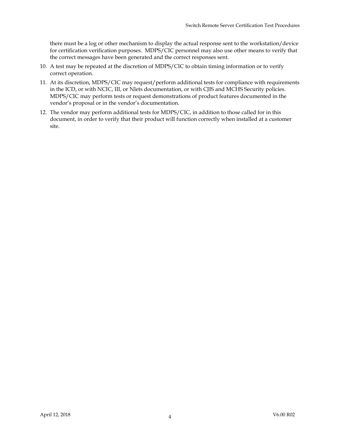there must be a log or other mechanism to display the actual response sent to the workstation/device for certification verification purposes. MDPS/CIC personnel may also use other means to verify that the correct messages have been generated and the correct responses sent.

- 10. A test may be repeated at the discretion of MDPS/CIC to obtain timing information or to verify correct operation.
- 11. At its discretion, MDPS/CIC may request/perform additional tests for compliance with requirements in the ICD, or with NCIC, III, or Nlets documentation, or with CJIS and MCHS Security policies. MDPS/CIC may perform tests or request demonstrations of product features documented in the vendor's proposal or in the vendor's documentation.
- 12. The vendor may perform additional tests for MDPS/CIC, in addition to those called for in this document, in order to verify that their product will function correctly when installed at a customer site.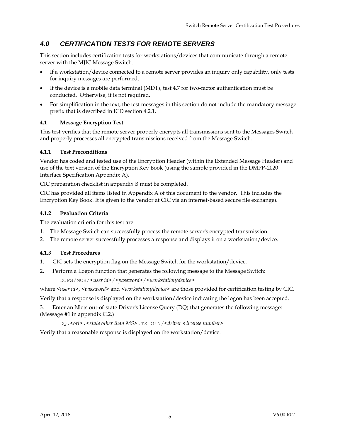# *4.0 CERTIFICATION TESTS FOR REMOTE SERVERS*

This section includes certification tests for workstations/devices that communicate through a remote server with the MJIC Message Switch.

- If a workstation/device connected to a remote server provides an inquiry only capability, only tests for inquiry messages are performed.
- If the device is a mobile data terminal (MDT), test 4.7 for two-factor authentication must be conducted. Otherwise, it is not required.
- For simplification in the text, the test messages in this section do not include the mandatory message prefix that is described in ICD section 4.2.1.

#### **4.1 Message Encryption Test**

This test verifies that the remote server properly encrypts all transmissions sent to the Messages Switch and properly processes all encrypted transmissions received from the Message Switch.

#### **4.1.1 Test Preconditions**

Vendor has coded and tested use of the Encryption Header (within the Extended Message Header) and use of the text version of the Encryption Key Book (using the sample provided in the DMPP-2020 Interface Specification Appendix A).

CIC preparation checklist in appendix B must be completed.

CIC has provided all items listed in Appendix A of this document to the vendor. This includes the Encryption Key Book. It is given to the vendor at CIC via an internet-based secure file exchange).

#### **4.1.2 Evaluation Criteria**

The evaluation criteria for this test are:

- 1. The Message Switch can successfully process the remote server's encrypted transmission.
- 2. The remote server successfully processes a response and displays it on a workstation/device.

#### **4.1.3 Test Procedures**

- 1. CIC sets the encryption flag on the Message Switch for the workstation/device.
- 2. Perform a Logon function that generates the following message to the Message Switch: DOPS/MCH/*<user id>*/*<password>*/*<workstation/device>*

where *<user id>*, *<password>* and *<workstation/device>* are those provided for certification testing by CIC.

Verify that a response is displayed on the workstation/device indicating the logon has been accepted.

3. Enter an Nlets out-of-state Driver's License Query (DQ) that generates the following message: (Message #1 in appendix C.2.)

DQ.*<ori>*.*<state other than MS>*.TXTOLN/*<driver's license number>*

Verify that a reasonable response is displayed on the workstation/device.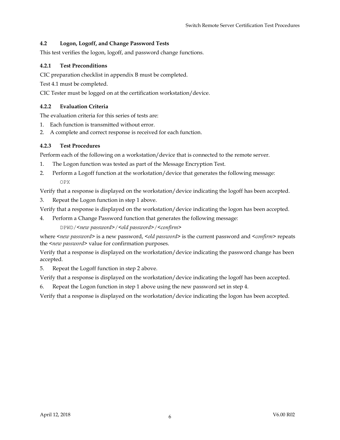#### **4.2 Logon, Logoff, and Change Password Tests**

This test verifies the logon, logoff, and password change functions.

#### **4.2.1 Test Preconditions**

CIC preparation checklist in appendix B must be completed.

Test 4.1 must be completed.

CIC Tester must be logged on at the certification workstation/device.

#### **4.2.2 Evaluation Criteria**

The evaluation criteria for this series of tests are:

- 1. Each function is transmitted without error.
- 2. A complete and correct response is received for each function.

#### **4.2.3 Test Procedures**

Perform each of the following on a workstation/device that is connected to the remote server.

- 1. The Logon function was tested as part of the Message Encryption Test.
- 2. Perform a Logoff function at the workstation/device that generates the following message: OPX

Verify that a response is displayed on the workstation/device indicating the logoff has been accepted.

3. Repeat the Logon function in step 1 above.

Verify that a response is displayed on the workstation/device indicating the logon has been accepted.

4. Perform a Change Password function that generates the following message:

DPWD/*<new password>*/*<old password>*/*<confirm>*

where <*new password*> is a new password, <*old password*> is the current password and <*confirm*> repeats the *<new password>* value for confirmation purposes.

Verify that a response is displayed on the workstation/device indicating the password change has been accepted.

5. Repeat the Logoff function in step 2 above.

Verify that a response is displayed on the workstation/device indicating the logoff has been accepted.

6. Repeat the Logon function in step 1 above using the new password set in step 4.

Verify that a response is displayed on the workstation/device indicating the logon has been accepted.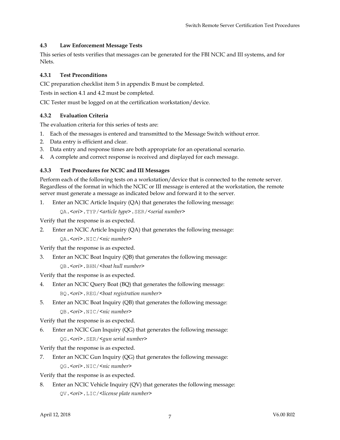#### **4.3 Law Enforcement Message Tests**

This series of tests verifies that messages can be generated for the FBI NCIC and III systems, and for Nlets.

#### **4.3.1 Test Preconditions**

CIC preparation checklist item 5 in appendix B must be completed.

Tests in section 4.1 and 4.2 must be completed.

CIC Tester must be logged on at the certification workstation/device.

#### **4.3.2 Evaluation Criteria**

The evaluation criteria for this series of tests are:

- 1. Each of the messages is entered and transmitted to the Message Switch without error.
- 2. Data entry is efficient and clear.
- 3. Data entry and response times are both appropriate for an operational scenario.
- 4. A complete and correct response is received and displayed for each message.

#### **4.3.3 Test Procedures for NCIC and III Messages**

Perform each of the following tests on a workstation/device that is connected to the remote server. Regardless of the format in which the NCIC or III message is entered at the workstation, the remote server must generate a message as indicated below and forward it to the server.

1. Enter an NCIC Article Inquiry (QA) that generates the following message:

QA.*<ori>*.TYP/*<article type>*.SER/*<serial number>*

Verify that the response is as expected.

2. Enter an NCIC Article Inquiry (QA) that generates the following message:

QA.*<ori>*.NIC/*<nic number>*

Verify that the response is as expected.

3. Enter an NCIC Boat Inquiry (QB) that generates the following message: QB.*<ori>*.BHN/*<boat hull number>*

Verify that the response is as expected.

- 4. Enter an NCIC Query Boat (BQ) that generates the following message: BQ.*<ori>*.REG/*<boat registration number>*
- 5. Enter an NCIC Boat Inquiry (QB) that generates the following message: QB.*<ori>*.NIC/*<nic number>*

Verify that the response is as expected.

6. Enter an NCIC Gun Inquiry (QG) that generates the following message: QG.*<ori>*.SER/*<gun serial number>*

Verify that the response is as expected.

7. Enter an NCIC Gun Inquiry (QG) that generates the following message: QG.*<ori>*.NIC/*<nic number>*

Verify that the response is as expected.

8. Enter an NCIC Vehicle Inquiry (QV) that generates the following message: QV.*<ori>*.LIC/*<license plate number>*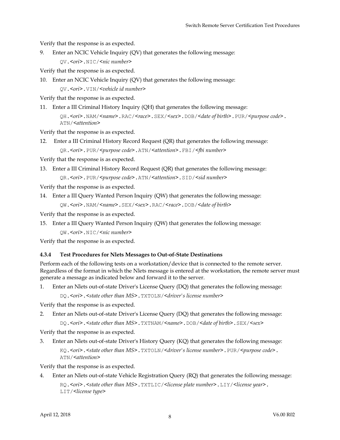Verify that the response is as expected.

9. Enter an NCIC Vehicle Inquiry (QV) that generates the following message:

QV.*<ori>*.NIC/*<nic number>*

Verify that the response is as expected.

10. Enter an NCIC Vehicle Inquiry (QV) that generates the following message:

QV.*<ori>*.VIN/*<vehicle id number>*

Verify that the response is as expected.

11. Enter a III Criminal History Inquiry (QH) that generates the following message:

QH.*<ori>*.NAM/*<name>*.RAC/*<race>*.SEX/*<sex>*.DOB/*<date of birth>.*PUR/*<purpose code>*. ATN/*<attention>*

Verify that the response is as expected.

12. Enter a III Criminal History Record Request (QR) that generates the following message: QR.*<ori>*.PUR/*<purpose code>*.ATN/*<attention>*.FBI/*<fbi number>*

Verify that the response is as expected.

13. Enter a III Criminal History Record Request (QR) that generates the following message:

```
QR.<ori>.PUR/<purpose code>.ATN/<attention>.SID/<sid number>
```
Verify that the response is as expected.

14. Enter a III Query Wanted Person Inquiry (QW) that generates the following message:

```
QW.<ori>.NAM/<name>.SEX/<sex>.RAC/<race>.DOB/<date of birth>
```
Verify that the response is as expected.

15. Enter a III Query Wanted Person Inquiry (QW) that generates the following message:

QW.*<ori>*.NIC/*<nic number>*

Verify that the response is as expected.

#### **4.3.4 Test Procedures for Nlets Messages to Out-of-State Destinations**

Perform each of the following tests on a workstation/device that is connected to the remote server. Regardless of the format in which the Nlets message is entered at the workstation, the remote server must generate a message as indicated below and forward it to the server.

1. Enter an Nlets out-of-state Driver's License Query (DQ) that generates the following message:

DQ.*<ori>*.*<state other than MS>*.TXTOLN/*<driver's license number>*

Verify that the response is as expected.

2. Enter an Nlets out-of-state Driver's License Query (DQ) that generates the following message:

DQ.*<ori>*.*<state other than MS>*.TXTNAM/*<name>*.DOB/*<date of birth>*.SEX/*<sex>*

Verify that the response is as expected.

3. Enter an Nlets out-of-state Driver's History Query (KQ) that generates the following message: KQ.*<ori>*.*<state other than MS>*.TXTOLN/*<driver's license number>*.PUR/*<purpose code>*. ATN/*<attention>*

Verify that the response is as expected.

4. Enter an Nlets out-of-state Vehicle Registration Query (RQ) that generates the following message: RQ.*<ori>*.*<state other than MS>*.TXTLIC/*<license plate number>*.LIY/*<license year>*. LIT/*<license type>*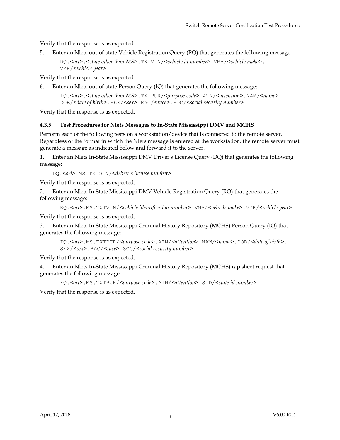Verify that the response is as expected.

5. Enter an Nlets out-of-state Vehicle Registration Query (RQ) that generates the following message:

RQ.*<ori>*.*<state other than MS>*.TXTVIN/*<vehicle id number>*.VMA/*<vehicle make>*. VYR/*<vehicle year>*

Verify that the response is as expected.

6. Enter an Nlets out-of-state Person Query (IQ) that generates the following message:

IQ.*<ori>*.*<state other than MS>*.TXTPUR/*<purpose code>*.ATN/*<attention>*.NAM/*<name>*. DOB/*<date of birth>*.SEX/*<sex>*.RAC/*<race>*.SOC/*<social security number>*

Verify that the response is as expected.

#### **4.3.5 Test Procedures for Nlets Messages to In-State Mississippi DMV and MCHS**

Perform each of the following tests on a workstation/device that is connected to the remote server. Regardless of the format in which the Nlets message is entered at the workstation, the remote server must generate a message as indicated below and forward it to the server.

1. Enter an Nlets In-State Mississippi DMV Driver's License Query (DQ) that generates the following message:

DQ.*<ori>*.MS.TXTOLN/*<driver's license numbe*r>

Verify that the response is as expected.

2. Enter an Nlets In-State Mississippi DMV Vehicle Registration Query (RQ) that generates the following message:

RQ.*<ori>*.MS.TXTVIN/*<vehicle identification number>*.VMA/*<vehicle make>*.VYR/*<vehicle year>*

Verify that the response is as expected.

3. Enter an Nlets In-State Mississippi Criminal History Repository (MCHS) Person Query (IQ) that generates the following message:

IQ.*<ori>*.MS.TXTPUR/*<purpose code>*.ATN/*<attention>*.NAM/*<name>*.DOB/*<date of birth>*. SEX/*<sex>*.RAC/*<race>*.SOC/*<social security number>*

Verify that the response is as expected.

4. Enter an Nlets In-State Mississippi Criminal History Repository (MCHS) rap sheet request that generates the following message:

FQ.*<ori>*.MS.TXTPUR/*<purpose code>*.ATN/*<attention>*.SID/*<state id number>*

Verify that the response is as expected.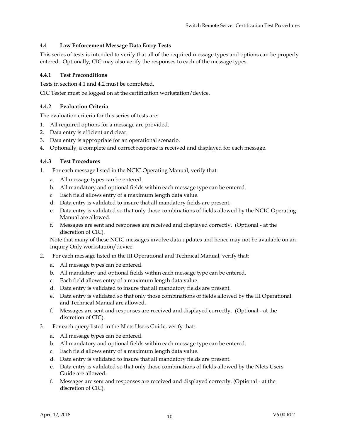#### **4.4 Law Enforcement Message Data Entry Tests**

This series of tests is intended to verify that all of the required message types and options can be properly entered. Optionally, CIC may also verify the responses to each of the message types.

#### **4.4.1 Test Preconditions**

Tests in section 4.1 and 4.2 must be completed.

CIC Tester must be logged on at the certification workstation/device.

#### **4.4.2 Evaluation Criteria**

The evaluation criteria for this series of tests are:

- 1. All required options for a message are provided.
- 2. Data entry is efficient and clear.
- 3. Data entry is appropriate for an operational scenario.
- 4. Optionally, a complete and correct response is received and displayed for each message.

#### **4.4.3 Test Procedures**

- 1. For each message listed in the NCIC Operating Manual, verify that:
	- a. All message types can be entered.
	- b. All mandatory and optional fields within each message type can be entered.
	- c. Each field allows entry of a maximum length data value.
	- d. Data entry is validated to insure that all mandatory fields are present.
	- e. Data entry is validated so that only those combinations of fields allowed by the NCIC Operating Manual are allowed.
	- f. Messages are sent and responses are received and displayed correctly. (Optional at the discretion of CIC).

Note that many of these NCIC messages involve data updates and hence may not be available on an Inquiry Only workstation/device.

- 2. For each message listed in the III Operational and Technical Manual, verify that:
	- a. All message types can be entered.
	- b. All mandatory and optional fields within each message type can be entered.
	- c. Each field allows entry of a maximum length data value.
	- d. Data entry is validated to insure that all mandatory fields are present.
	- e. Data entry is validated so that only those combinations of fields allowed by the III Operational and Technical Manual are allowed.
	- f. Messages are sent and responses are received and displayed correctly. (Optional at the discretion of CIC).
- 3. For each query listed in the Nlets Users Guide, verify that:
	- a. All message types can be entered.
	- b. All mandatory and optional fields within each message type can be entered.
	- c. Each field allows entry of a maximum length data value.
	- d. Data entry is validated to insure that all mandatory fields are present.
	- e. Data entry is validated so that only those combinations of fields allowed by the Nlets Users Guide are allowed.
	- f. Messages are sent and responses are received and displayed correctly. (Optional at the discretion of CIC).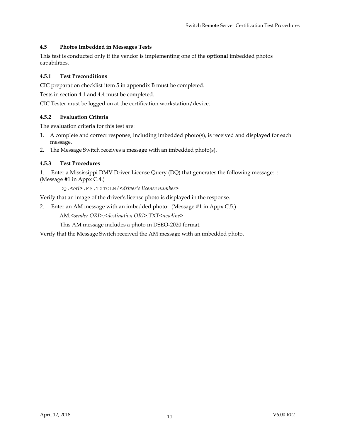#### **4.5 Photos Imbedded in Messages Tests**

This test is conducted only if the vendor is implementing one of the **optional** imbedded photos capabilities.

#### **4.5.1 Test Preconditions**

CIC preparation checklist item 5 in appendix B must be completed.

Tests in section 4.1 and 4.4 must be completed.

CIC Tester must be logged on at the certification workstation/device.

#### **4.5.2 Evaluation Criteria**

The evaluation criteria for this test are:

- 1. A complete and correct response, including imbedded photo(s), is received and displayed for each message.
- 2. The Message Switch receives a message with an imbedded photo(s).

#### **4.5.3 Test Procedures**

1. Enter a Mississippi DMV Driver License Query (DQ) that generates the following message: : (Message #1 in Appx C.4.)

DQ.*<ori>*.MS.TXTOLN/*<driver's license number>*

Verify that an image of the driver's license photo is displayed in the response.

2. Enter an AM message with an imbedded photo: (Message #1 in Appx C.5.)

AM.*<sender ORI>*.*<destination ORI>*.TXT*<newline>*

This AM message includes a photo in DSEO-2020 format.

Verify that the Message Switch received the AM message with an imbedded photo.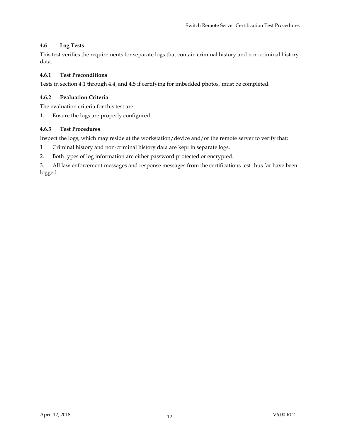#### **4.6 Log Tests**

This test verifies the requirements for separate logs that contain criminal history and non-criminal history data.

#### **4.6.1 Test Preconditions**

Tests in section 4.1 through 4.4, and 4.5 if certifying for imbedded photos, must be completed.

#### **4.6.2 Evaluation Criteria**

The evaluation criteria for this test are:

1. Ensure the logs are properly configured.

#### **4.6.3 Test Procedures**

Inspect the logs, which may reside at the workstation/device and/or the remote server to verify that:

1 Criminal history and non-criminal history data are kept in separate logs.

2. Both types of log information are either password protected or encrypted.

3. All law enforcement messages and response messages from the certifications test thus far have been logged.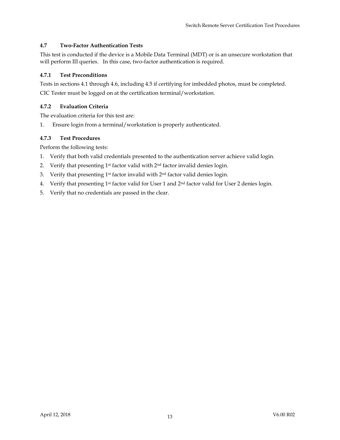#### **4.7 Two-Factor Authentication Tests**

This test is conducted if the device is a Mobile Data Terminal (MDT) or is an unsecure workstation that will perform III queries. In this case, two-factor authentication is required.

#### **4.7.1 Test Preconditions**

Tests in sections 4.1 through 4.6, including 4.5 if certifying for imbedded photos, must be completed. CIC Tester must be logged on at the certification terminal/workstation.

#### **4.7.2 Evaluation Criteria**

The evaluation criteria for this test are:

1. Ensure login from a terminal/workstation is properly authenticated.

#### **4.7.3 Test Procedures**

Perform the following tests:

- 1. Verify that both valid credentials presented to the authentication server achieve valid login.
- 2. Verify that presenting  $1<sup>st</sup>$  factor valid with  $2<sup>nd</sup>$  factor invalid denies login.
- 3. Verify that presenting 1<sup>st</sup> factor invalid with 2<sup>nd</sup> factor valid denies login.
- 4. Verify that presenting 1<sup>st</sup> factor valid for User 1 and 2<sup>nd</sup> factor valid for User 2 denies login.
- 5. Verify that no credentials are passed in the clear.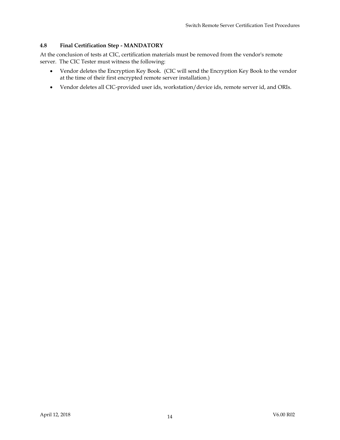#### **4.8 Final Certification Step - MANDATORY**

At the conclusion of tests at CIC, certification materials must be removed from the vendor's remote server. The CIC Tester must witness the following:

- Vendor deletes the Encryption Key Book. (CIC will send the Encryption Key Book to the vendor at the time of their first encrypted remote server installation.)
- Vendor deletes all CIC-provided user ids, workstation/device ids, remote server id, and ORIs.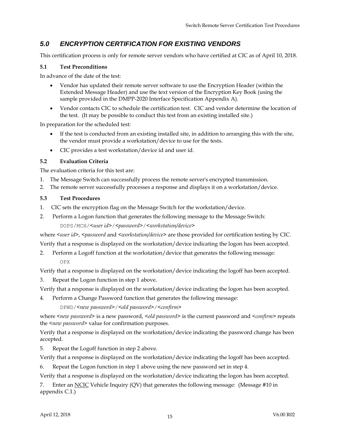# *5.0 ENCRYPTION CERTIFICATION FOR EXISTING VENDORS*

This certification process is only for remote server vendors who have certified at CIC as of April 10, 2018.

#### **5.1 Test Preconditions**

In advance of the date of the test:

- Vendor has updated their remote server software to use the Encryption Header (within the Extended Message Header) and use the text version of the Encryption Key Book (using the sample provided in the DMPP-2020 Interface Specification Appendix A).
- Vendor contacts CIC to schedule the certification test. CIC and vendor determine the location of the test. (It may be possible to conduct this test from an existing installed site.)

In preparation for the scheduled test:

- If the test is conducted from an existing installed site, in addition to arranging this with the site, the vendor must provide a workstation/device to use for the tests.
- CIC provides a test workstation/device id and user id.

#### **5.2 Evaluation Criteria**

The evaluation criteria for this test are:

- 1. The Message Switch can successfully process the remote server's encrypted transmission.
- 2. The remote server successfully processes a response and displays it on a workstation/device.

#### **5.3 Test Procedures**

- 1. CIC sets the encryption flag on the Message Switch for the workstation/device.
- 2. Perform a Logon function that generates the following message to the Message Switch: DOPS/MCH/*<user id>*/*<password>*/*<workstation/device>*

where <user id>, <password and <workstation/device> are those provided for certification testing by CIC. Verify that a response is displayed on the workstation/device indicating the logon has been accepted.

2. Perform a Logoff function at the workstation/device that generates the following message: OPX

Verify that a response is displayed on the workstation/device indicating the logoff has been accepted.

3. Repeat the Logon function in step 1 above.

Verify that a response is displayed on the workstation/device indicating the logon has been accepted.

4. Perform a Change Password function that generates the following message:

DPWD/*<new password>*/*<old password>*/*<confirm>*

where *<new password>* is a new password, *<old password* > is the current password and *<confirm* > repeats the *<new password>* value for confirmation purposes.

Verify that a response is displayed on the workstation/device indicating the password change has been accepted.

5. Repeat the Logoff function in step 2 above.

Verify that a response is displayed on the workstation/device indicating the logoff has been accepted.

6. Repeat the Logon function in step 1 above using the new password set in step 4.

Verify that a response is displayed on the workstation/device indicating the logon has been accepted.

7. Enter an NCIC Vehicle Inquiry (QV) that generates the following message: (Message #10 in appendix C.1.)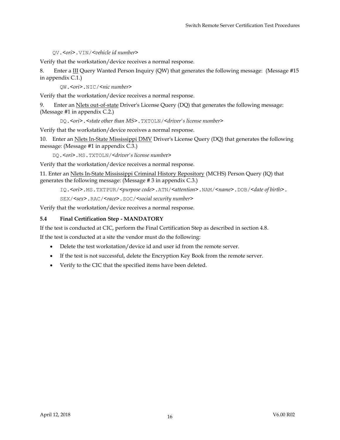QV.*<ori>*.VIN/*<vehicle id number>*

Verify that the workstation/device receives a normal response.

8. Enter a III Query Wanted Person Inquiry (QW) that generates the following message: (Message #15 in appendix C.1.)

QW.*<ori>*.NIC/*<nic number>*

Verify that the workstation/device receives a normal response.

9. Enter an Nlets out-of-state Driver's License Query (DQ) that generates the following message: (Message #1 in appendix C.2.)

DQ.*<ori>*.*<state other than MS>*.TXTOLN/*<driver's license number>*

Verify that the workstation/device receives a normal response.

10. Enter an Nlets In-State Mississippi DMV Driver's License Query (DQ) that generates the following message: (Message #1 in appendix C.3.)

DQ.*<ori>*.MS.TXTOLN/*<driver's license numbe*r>

Verify that the workstation/device receives a normal response.

11. Enter an Nlets In-State Mississippi Criminal History Repository (MCHS) Person Query (IQ) that generates the following message: (Message # 3 in appendix C.3.)

IQ.*<ori>*.MS.TXTPUR/*<purpose code>*.ATN/*<attention>*.NAM/*<name>*.DOB/*<date of birth>*.

SEX/*<sex>*.RAC/*<race>*.SOC/*<social security number>*

Verify that the workstation/device receives a normal response.

#### **5.4 Final Certification Step - MANDATORY**

If the test is conducted at CIC, perform the Final Certification Step as described in section 4.8.

If the test is conducted at a site the vendor must do the following:

- Delete the test workstation/device id and user id from the remote server.
- If the test is not successful, delete the Encryption Key Book from the remote server.
- Verify to the CIC that the specified items have been deleted.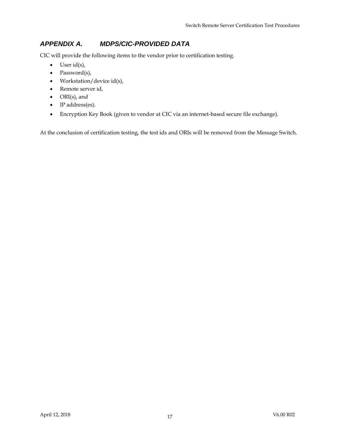# *APPENDIX A. MDPS/CIC-PROVIDED DATA*

CIC will provide the following items to the vendor prior to certification testing.

- $\bullet$  User id(s),
- Password(s),
- Workstation/device id(s),
- Remote server id,
- ORI(s), and
- IP address(es).
- Encryption Key Book (given to vendor at CIC via an internet-based secure file exchange).

At the conclusion of certification testing, the test ids and ORIs will be removed from the Message Switch.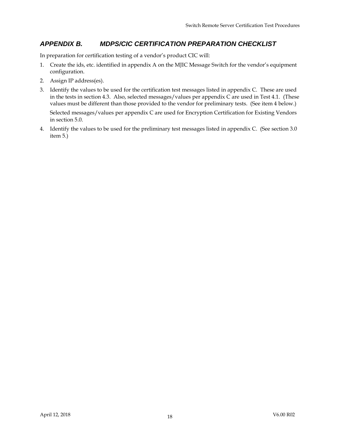## *APPENDIX B. MDPS/CIC CERTIFICATION PREPARATION CHECKLIST*

In preparation for certification testing of a vendor's product CIC will:

- 1. Create the ids, etc. identified in appendix A on the MJIC Message Switch for the vendor's equipment configuration.
- 2. Assign IP address(es).
- 3. Identify the values to be used for the certification test messages listed in appendix C. These are used in the tests in section 4.3. Also, selected messages/values per appendix C are used in Test 4.1. (These values must be different than those provided to the vendor for preliminary tests. (See item 4 below.)

Selected messages/values per appendix C are used for Encryption Certification for Existing Vendors in section 5.0.

4. Identify the values to be used for the preliminary test messages listed in appendix C. (See section 3.0 item 5.)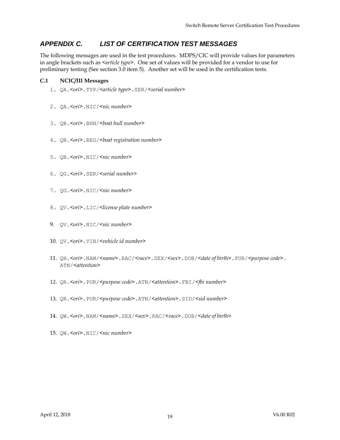# *APPENDIX C. LIST OF CERTIFICATION TEST MESSAGES*

The following messages are used in the test procedures. MDPS/CIC will provide values for parameters in angle brackets such as *<article type>*. One set of values will be provided for a vendor to use for preliminary testing (See section 3.0 item 5). Another set will be used in the certification tests.

#### **C.1 NCIC/III Messages**

- 1. QA.*<ori>*.TYP/*<article type>*.SER/*<serial number>*
- 2. QA.*<ori>*.NIC/*<nic number>*
- 3. QB.*<ori>*.BHN/*<boat hull number>*
- 4. QB.*<ori>*.REG/*<boat registration number>*
- 5. QB.*<ori>*.NIC/*<nic number>*
- 6. QG.*<ori>*.SER/*<serial number>*
- 7. QG.*<ori>*.NIC/*<nic number>*
- 8. QV.*<ori>*.LIC/*<license plate number>*
- 9. QV.*<ori>*.NIC/*<nic number>*
- 10. QV.*<ori>*.VIN/*<vehicle id number>*
- 11. QH.*<ori>*.NAM/*<name>*.RAC/*<race>*.SEX/*<sex>*.DOB/*<date of birth>*.PUR/*<purpose code>*. ATN/*<attention>*
- 12. QR.*<ori>*.PUR/*<purpose code>*.ATN/*<attention>*.FBI/*<fbi number>*
- 13. QR.*<ori>*.PUR/*<purpose code>*.ATN/*<attention>*.SID/*<sid number>*
- 14. QW.*<ori>*.NAM/*<name>*.SEX/*<sex>*.RAC/*<race>*.DOB/*<date of birth>*
- 15. QW.*<ori>*.NIC/*<nic number>*